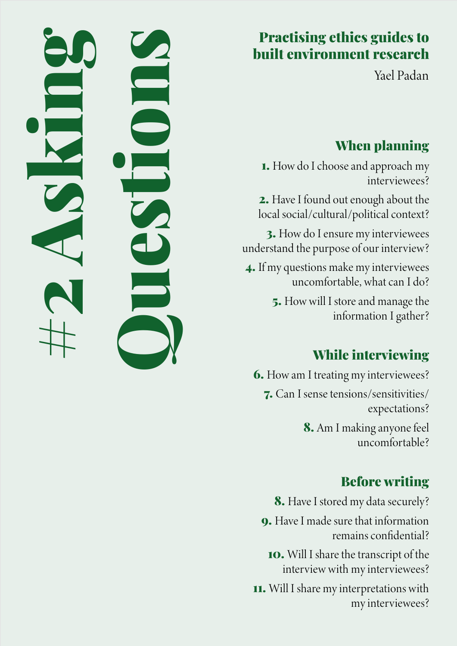# Practising ethics guides to built environment research

Yael Padan

# When planning

1. How do I choose and approach my interviewees?

2. Have I found out enough about the local social/cultural/political context?

3. How do I ensure my interviewees understand the purpose of our interview?

4. If my questions make my interviewees uncomfortable, what can I do?

> 5. How will I store and manage the information I gather?

# While interviewing

6. How am I treating my interviewees? 7. Can I sense tensions/sensitivities/ expectations? 8. Am I making anyone feel uncomfortable?

# Before writing

8. Have I stored my data securely?

9. Have I made sure that information remains confidential?

10. Will I share the transcript of the interview with my interviewees?

11. Will I share my interpretations with my interviewees?

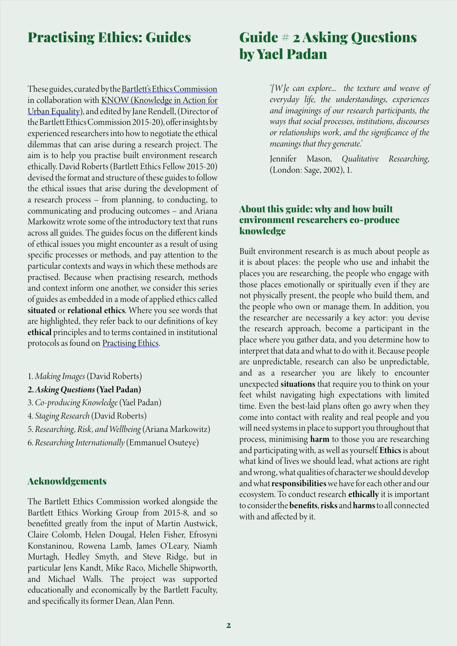## Practising Ethics: Guides

These guides, curated by the Bartlett's Ethics Commission in collaboration with KNOW (Knowledge in Action for Urban Equality), and edited by Jane Rendell, (Director of the Bartlett Ethics Commission 2015-20), offer insights by experienced researchers into how to negotiate the ethical dilemmas that can arise during a research project. The aim is to help you practise built environment research ethically. David Roberts (Bartlett Ethics Fellow 2015-20) devised the format and structure of these guides to follow the ethical issues that arise during the development of a research process – from planning, to conducting, to communicating and producing outcomes – and Ariana Markowitz wrote some of the introductory text that runs across all guides. The guides focus on the different kinds of ethical issues you might encounter as a result of using specific processes or methods, and pay attention to the particular contexts and ways in which these methods are practised. Because when practising research, methods and context inform one another, we consider this series of guides as embedded in a mode of applied ethics called situated or relational ethics. Where you see words that are highlighted, they refer back to our definitions of key ethical principles and to terms contained in institutional protocols as found on [Practising Ethics.](http://practisingethics.org)

- 1. *Making Images* (David Roberts)
- 2. *Asking Questions* (Yael Padan)
- 3. *Co-producing Knowledge* (Yael Padan)
- 4. *Staging Research* (David Roberts)
- 5. *Researching, Risk, and Wellbeing* (Ariana Markowitz)
- 6. *Researching Internationally* (Emmanuel Osuteye)

#### Acknowldgements

The Bartlett Ethics Commission worked alongside the Bartlett Ethics Working Group from 2015-8, and so benefitted greatly from the input of Martin Austwick, Claire Colomb, Helen Dougal, Helen Fisher, Efrosyni Konstaninou, Rowena Lamb, James O'Leary, Niamh Murtagh, Hedley Smyth, and Steve Ridge, but in particular Jens Kandt, Mike Raco, Michelle Shipworth, and Michael Walls. The project was supported educationally and economically by the Bartlett Faculty, and specifically its former Dean, Alan Penn.

## Guide # 2 Asking Questions by Yael Padan

*'[W ]e can explore... the texture and weave of everyday life, the understandings, experiences and imaginings of our research participants, the ways that social processes, institutions, discourses or relationships work, and the significance of the meanings that they generate.'* 

Jennifer Mason, *Qualitative Researching,*  (London: Sage, 2002), 1.

## About this guide: why and how built environment researchers co-produce knowledge

Built environment research is as much about people as it is about places: the people who use and inhabit the places you are researching, the people who engage with those places emotionally or spiritually even if they are not physically present, the people who build them, and the people who own or manage them. In addition, you the researcher are necessarily a key actor: you devise the research approach, become a participant in the place where you gather data, and you determine how to interpret that data and what to do with it. Because people are unpredictable, research can also be unpredictable, and as a researcher you are likely to encounter unexpected situations that require you to think on your feet whilst navigating high expectations with limited time. Even the best-laid plans often go awry when they come into contact with reality and real people and you will need systems in place to support you throughout that process, minimising harm to those you are researching and participating with, as well as yourself. Ethics is about what kind of lives we should lead, what actions are right and wrong, what qualities of character we should develop and what responsibilities we have for each other and our ecosystem. To conduct research ethically it is important to consider the benefits, risks and harms to all connected with and affected by it.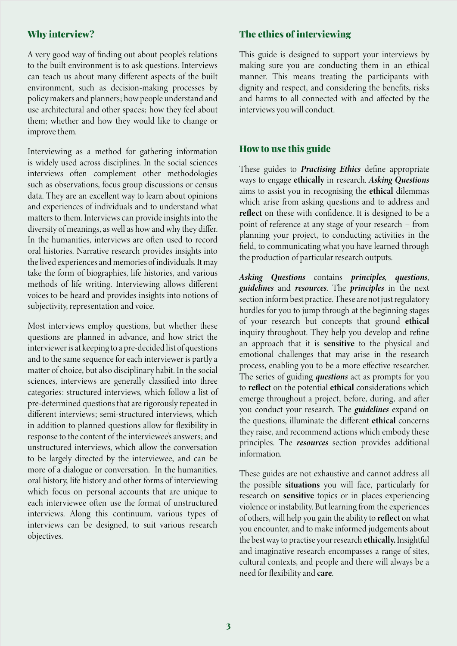## Why interview?

A very good way of finding out about people's relations to the built environment is to ask questions. Interviews can teach us about many different aspects of the built environment, such as decision-making processes by policy makers and planners; how people understand and use architectural and other spaces; how they feel about them; whether and how they would like to change or improve them.

Interviewing as a method for gathering information is widely used across disciplines. In the social sciences interviews often complement other methodologies such as observations, focus group discussions or census data. They are an excellent way to learn about opinions and experiences of individuals and to understand what matters to them. Interviews can provide insights into the diversity of meanings, as well as how and why they differ. In the humanities, interviews are often used to record oral histories. Narrative research provides insights into the lived experiences and memories of individuals. It may take the form of biographies, life histories, and various methods of life writing. Interviewing allows different voices to be heard and provides insights into notions of subjectivity, representation and voice.

Most interviews employ questions, but whether these questions are planned in advance, and how strict the interviewer is at keeping to a pre-decided list of questions and to the same sequence for each interviewer is partly a matter of choice, but also disciplinary habit. In the social sciences, interviews are generally classified into three categories: structured interviews, which follow a list of pre-determined questions that are rigorously repeated in different interviews; semi-structured interviews, which in addition to planned questions allow for flexibility in response to the content of the interviewee's answers; and unstructured interviews, which allow the conversation to be largely directed by the interviewee, and can be more of a dialogue or conversation. In the humanities, oral history, life history and other forms of interviewing which focus on personal accounts that are unique to each interviewee often use the format of unstructured interviews. Along this continuum, various types of interviews can be designed, to suit various research objectives.

## The ethics of interviewing

This guide is designed to support your interviews by making sure you are conducting them in an ethical manner. This means treating the participants with dignity and respect, and considering the benefits, risks and harms to all connected with and affected by the interviews you will conduct.

## How to use this guide

These guides to *Practising Ethics* define appropriate ways to engage ethically in research. *Asking Questions*  aims to assist you in recognising the ethical dilemmas which arise from asking questions and to address and reflect on these with confidence. It is designed to be a point of reference at any stage of your research – from planning your project, to conducting activities in the field, to communicating what you have learned through the production of particular research outputs.

*Asking Questions* contains *principles, questions*, *guidelines* and *resources*. The *principles* in the next section inform best practice. These are not just regulatory hurdles for you to jump through at the beginning stages of your research but concepts that ground ethical inquiry throughout. They help you develop and refine an approach that it is sensitive to the physical and emotional challenges that may arise in the research process, enabling you to be a more effective researcher. The series of guiding *questions* act as prompts for you to reflect on the potential ethical considerations which emerge throughout a project, before, during, and after you conduct your research. The *guidelines* expand on the questions, illuminate the different ethical concerns they raise, and recommend actions which embody these principles. The *resources* section provides additional information.

These guides are not exhaustive and cannot address all the possible situations you will face, particularly for research on sensitive topics or in places experiencing violence or instability. But learning from the experiences of others, will help you gain the ability to reflect on what you encounter, and to make informed judgements about the best way to practise your research ethically. Insightful and imaginative research encompasses a range of sites, cultural contexts, and people and there will always be a need for flexibility and care.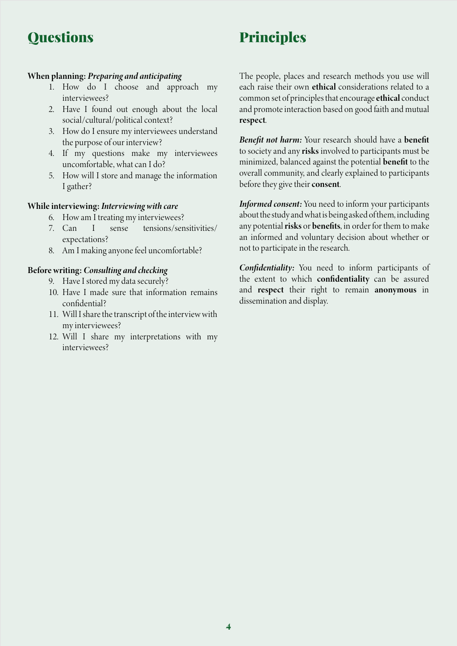# **Questions**

# Principles

## When planning: *Preparing and anticipating*

- 1. How do I choose and approach my interviewees?
- 2. Have I found out enough about the local social/cultural/political context?
- 3. How do I ensure my interviewees understand the purpose of our interview?
- 4. If my questions make my interviewees uncomfortable, what can I do?
- 5. How will I store and manage the information I gather?

## While interviewing: *Interviewing with care*

- 6. How am I treating my interviewees?
- 7. Can I sense tensions/sensitivities/ expectations?
- 8. Am I making anyone feel uncomfortable?

## Before writing: *Consulting and checking*

- 9. Have I stored my data securely?
- 10. Have I made sure that information remains confidential?
- 11. Will I share the transcript of the interview with my interviewees?
- 12. Will I share my interpretations with my interviewees?

The people, places and research methods you use will each raise their own ethical considerations related to a common set of principles that encourage ethical conduct and promote interaction based on good faith and mutual respect.

*Benefit not harm:* Your research should have a benefit to society and any risks involved to participants must be minimized, balanced against the potential benefit to the overall community, and clearly explained to participants before they give their consent.

*Informed consent:* You need to inform your participants about the study and what is being asked of them, including any potential risks or benefits, in order for them to make an informed and voluntary decision about whether or not to participate in the research.

*Confidentiality:* You need to inform participants of the extent to which confidentiality can be assured and respect their right to remain anonymous in dissemination and display.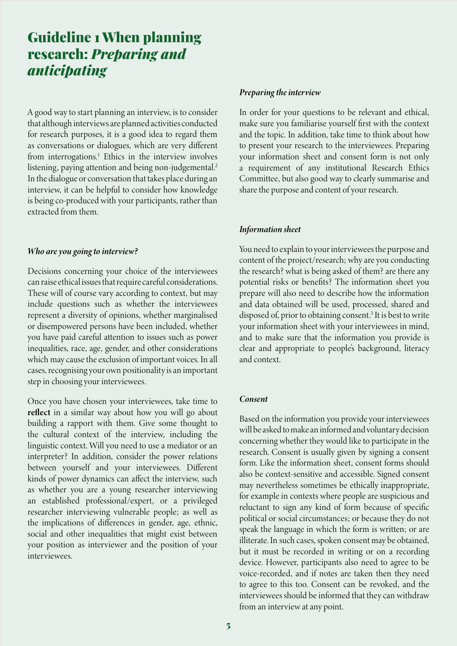# Guideline 1 When planning research: *Preparing and anticipating*

A good way to start planning an interview, is to consider that although interviews are planned activities conducted for research purposes, it is a good idea to regard them as conversations or dialogues, which are very different from interrogations.<sup>1</sup> Ethics in the interview involves listening, paying attention and being non-judgemental.<sup>2</sup> In the dialogue or conversation that takes place during an interview, it can be helpful to consider how knowledge is being co-produced with your participants, rather than extracted from them.

#### *Who are you going to interview?*

Decisions concerning your choice of the interviewees can raise ethical issues that require careful considerations. These will of course vary according to context, but may include questions such as whether the interviewees represent a diversity of opinions, whether marginalised or disempowered persons have been included, whether you have paid careful attention to issues such as power inequalities, race, age, gender, and other considerations which may cause the exclusion of important voices. In all cases, recognising your own positionality is an important step in choosing your interviewees.

Once you have chosen your interviewees, take time to reflect in a similar way about how you will go about building a rapport with them. Give some thought to the cultural context of the interview, including the linguistic context. Will you need to use a mediator or an interpreter? In addition, consider the power relations between yourself and your interviewees. Different kinds of power dynamics can affect the interview, such as whether you are a young researcher interviewing an established professional/expert, or a privileged researcher interviewing vulnerable people; as well as the implications of differences in gender, age, ethnic, social and other inequalities that might exist between your position as interviewer and the position of your interviewees.

#### *Preparing the interview*

In order for your questions to be relevant and ethical, make sure you familiarise yourself first with the context and the topic. In addition, take time to think about how to present your research to the interviewees. Preparing your information sheet and consent form is not only a requirement of any institutional Research Ethics Committee, but also good way to clearly summarise and share the purpose and content of your research.

#### *Information sheet*

You need to explain to your interviewees the purpose and content of the project/research; why are you conducting the research? what is being asked of them? are there any potential risks or benefits? The information sheet you prepare will also need to describe how the information and data obtained will be used, processed, shared and disposed of, prior to obtaining consent.<sup>3</sup> It is best to write your information sheet with your interviewees in mind, and to make sure that the information you provide is clear and appropriate to people's background, literacy and context.

#### *Consent*

Based on the information you provide your interviewees will be asked to make an informed and voluntary decision concerning whether they would like to participate in the research. Consent is usually given by signing a consent form. Like the information sheet, consent forms should also be context-sensitive and accessible. Signed consent may nevertheless sometimes be ethically inappropriate, for example in contexts where people are suspicious and reluctant to sign any kind of form because of specific political or social circumstances; or because they do not speak the language in which the form is written; or are illiterate. In such cases, spoken consent may be obtained, but it must be recorded in writing or on a recording device. However, participants also need to agree to be voice-recorded, and if notes are taken then they need to agree to this too. Consent can be revoked, and the interviewees should be informed that they can withdraw from an interview at any point.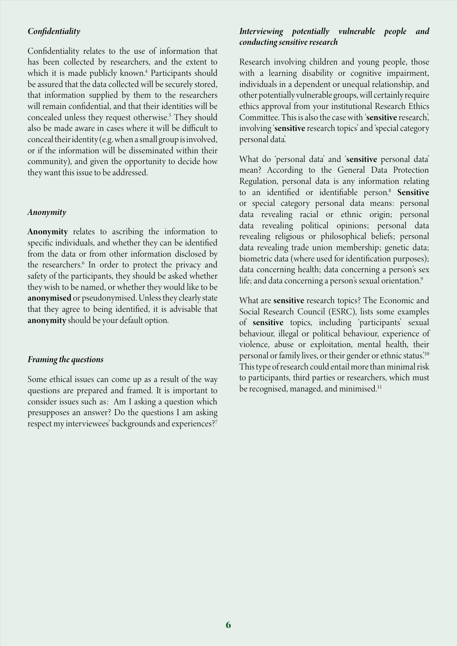#### *Confidentiality*

Confidentiality relates to the use of information that has been collected by researchers, and the extent to which it is made publicly known.4 Participants should be assured that the data collected will be securely stored, that information supplied by them to the researchers will remain confidential, and that their identities will be concealed unless they request otherwise.<sup>5</sup> They should also be made aware in cases where it will be difficult to conceal their identity (e.g. when a small group is involved, or if the information will be disseminated within their community), and given the opportunity to decide how they want this issue to be addressed.

#### *Anonymity*

Anonymity relates to ascribing the information to specific individuals, and whether they can be identified from the data or from other information disclosed by the researchers.<sup>6</sup> In order to protect the privacy and safety of the participants, they should be asked whether they wish to be named, or whether they would like to be anonymised or pseudonymised. Unless they clearly state that they agree to being identified, it is advisable that anonymity should be your default option.

#### *Framing the questions*

Some ethical issues can come up as a result of the way questions are prepared and framed. It is important to consider issues such as: Am I asking a question which presupposes an answer? Do the questions I am asking respect my interviewees' backgrounds and experiences?<sup>7</sup>

### *Interviewing potentially vulnerable people and conducting sensitive research*

Research involving children and young people, those with a learning disability or cognitive impairment, individuals in a dependent or unequal relationship, and other potentially vulnerable groups, will certainly require ethics approval from your institutional Research Ethics Committee. This is also the case with 'sensitive research', involving 'sensitive research topics' and 'special category personal data'.

What do 'personal data' and 'sensitive personal data' mean? According to the General Data Protection Regulation, personal data is any information relating to an identified or identifiable person.<sup>8</sup> Sensitive or special category personal data means: personal data revealing racial or ethnic origin; personal data revealing political opinions; personal data revealing religious or philosophical beliefs; personal data revealing trade union membership; genetic data; biometric data (where used for identification purposes); data concerning health; data concerning a person's sex life; and data concerning a person's sexual orientation.<sup>9</sup>

What are sensitive research topics? The Economic and Social Research Council (ESRC), lists some examples of sensitive topics, including 'participants' sexual behaviour, illegal or political behaviour, experience of violence, abuse or exploitation, mental health, their personal or family lives, or their gender or ethnic status.'10 This type of research could entail more than minimal risk to participants, third parties or researchers, which must be recognised, managed, and minimised.<sup>11</sup>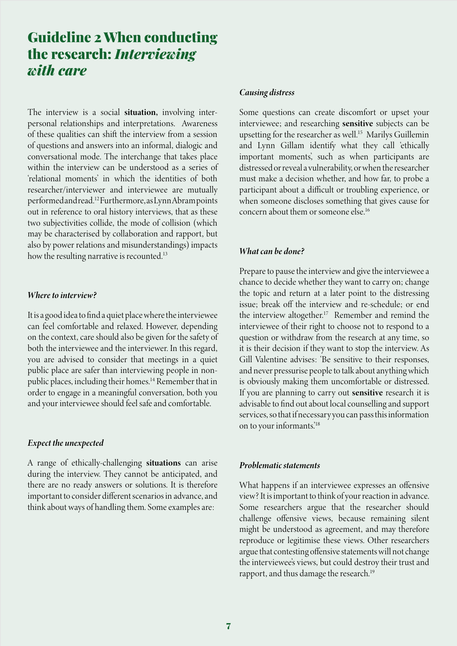## Guideline 2 When conducting the research: *Interviewing with care*

The interview is a social situation, involving interpersonal relationships and interpretations. Awareness of these qualities can shift the interview from a session of questions and answers into an informal, dialogic and conversational mode. The interchange that takes place within the interview can be understood as a series of 'relational moments' in which the identities of both researcher/interviewer and interviewee are mutually performed and read.12 Furthermore, as Lynn Abram points out in reference to oral history interviews, that as these two subjectivities collide, the mode of collision (which may be characterised by collaboration and rapport, but also by power relations and misunderstandings) impacts how the resulting narrative is recounted.<sup>13</sup>

#### *Where to interview?*

It is a good idea to find a quiet place where the interviewee can feel comfortable and relaxed. However, depending on the context, care should also be given for the safety of both the interviewee and the interviewer. In this regard, you are advised to consider that meetings in a quiet public place are safer than interviewing people in nonpublic places, including their homes.14 Remember that in order to engage in a meaningful conversation, both you and your interviewee should feel safe and comfortable.

#### *Expect the unexpected*

A range of ethically-challenging situations can arise during the interview. They cannot be anticipated, and there are no ready answers or solutions. It is therefore important to consider different scenarios in advance, and think about ways of handling them. Some examples are:

#### *Causing distress*

Some questions can create discomfort or upset your interviewee; and researching sensitive subjects can be upsetting for the researcher as well.<sup>15</sup> Marilys Guillemin and Lynn Gillam identify what they call 'ethically important moments', such as when participants are distressed or reveal a vulnerability, or when the researcher must make a decision whether, and how far, to probe a participant about a difficult or troubling experience, or when someone discloses something that gives cause for concern about them or someone else<sup>16</sup>

#### *What can be done?*

Prepare to pause the interview and give the interviewee a chance to decide whether they want to carry on; change the topic and return at a later point to the distressing issue; break off the interview and re-schedule; or end the interview altogether.17 Remember and remind the interviewee of their right to choose not to respond to a question or withdraw from the research at any time, so it is their decision if they want to stop the interview. As Gill Valentine advises: 'Be sensitive to their responses, and never pressurise people to talk about anything which is obviously making them uncomfortable or distressed. If you are planning to carry out sensitive research it is advisable to find out about local counselling and support services, so that if necessary you can pass this information on to your informants.'18

#### *Problematic statements*

What happens if an interviewee expresses an offensive view? It is important to think of your reaction in advance. Some researchers argue that the researcher should challenge offensive views, because remaining silent might be understood as agreement, and may therefore reproduce or legitimise these views. Other researchers argue that contesting offensive statements will not change the interviewee's views, but could destroy their trust and rapport, and thus damage the research.<sup>19</sup>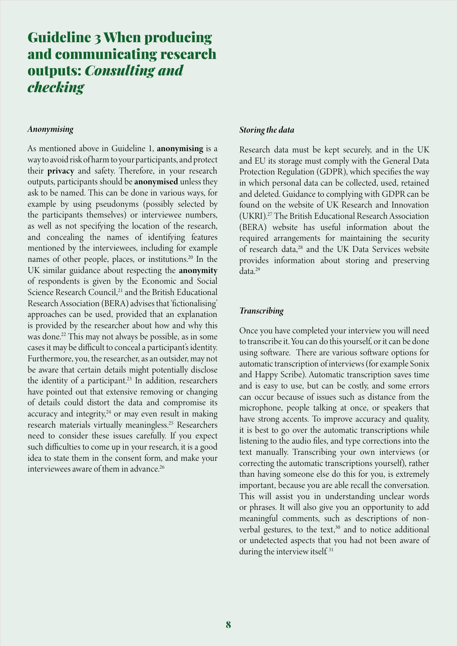## Guideline 3 When producing and communicating research outputs: *Consulting and checking*

#### *Anonymising*

As mentioned above in Guideline 1, anonymising is a way to avoid risk of harm to your participants, and protect their privacy and safety. Therefore, in your research outputs, participants should be anonymised unless they ask to be named. This can be done in various ways, for example by using pseudonyms (possibly selected by the participants themselves) or interviewee numbers, as well as not specifying the location of the research, and concealing the names of identifying features mentioned by the interviewees, including for example names of other people, places, or institutions.20 In the UK similar guidance about respecting the anonymity of respondents is given by the Economic and Social Science Research Council,<sup>21</sup> and the British Educational Research Association (BERA) advises that 'fictionalising' approaches can be used, provided that an explanation is provided by the researcher about how and why this was done.22 This may not always be possible, as in some cases it may be difficult to conceal a participant's identity. Furthermore, you, the researcher, as an outsider, may not be aware that certain details might potentially disclose the identity of a participant.<sup>23</sup> In addition, researchers have pointed out that extensive removing or changing of details could distort the data and compromise its accuracy and integrity, $24$  or may even result in making research materials virtually meaningless.25 Researchers need to consider these issues carefully. If you expect such difficulties to come up in your research, it is a good idea to state them in the consent form, and make your interviewees aware of them in advance.26

### *Storing the data*

Research data must be kept securely, and in the UK and EU its storage must comply with the General Data Protection Regulation (GDPR), which specifies the way in which personal data can be collected, used, retained and deleted. Guidance to complying with GDPR can be found on the website of UK Research and Innovation (UKRI).27 The British Educational Research Association (BERA) website has useful information about the required arrangements for maintaining the security of research data,<sup>28</sup> and the UK Data Services website provides information about storing and preserving data.29

#### *Transcribing*

Once you have completed your interview you will need to transcribe it. You can do this yourself, or it can be done using software. There are various software options for automatic transcription of interviews (for example Sonix and Happy Scribe). Automatic transcription saves time and is easy to use, but can be costly, and some errors can occur because of issues such as distance from the microphone, people talking at once, or speakers that have strong accents. To improve accuracy and quality, it is best to go over the automatic transcriptions while listening to the audio files, and type corrections into the text manually. Transcribing your own interviews (or correcting the automatic transcriptions yourself), rather than having someone else do this for you, is extremely important, because you are able recall the conversation. This will assist you in understanding unclear words or phrases. It will also give you an opportunity to add meaningful comments, such as descriptions of nonverbal gestures, to the text,<sup>30</sup> and to notice additional or undetected aspects that you had not been aware of during the interview itself.<sup>31</sup>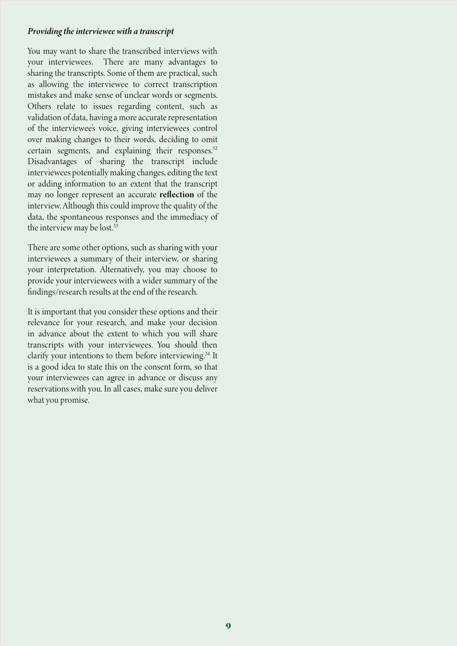#### *Providing the interviewee with a transcript*

You may want to share the transcribed interviews with your interviewees. There are many advantages to sharing the transcripts. Some of them are practical, such as allowing the interviewee to correct transcription mistakes and make sense of unclear words or segments. Others relate to issues regarding content, such as validation of data, having a more accurate representation of the interviewee's voice, giving interviewees control over making changes to their words, deciding to omit certain segments, and explaining their responses.<sup>32</sup> Disadvantages of sharing the transcript include interviewees potentially making changes, editing the text or adding information to an extent that the transcript may no longer represent an accurate reflection of the interview. Although this could improve the quality of the data, the spontaneous responses and the immediacy of the interview may be lost.<sup>33</sup>

There are some other options, such as sharing with your interviewees a summary of their interview, or sharing your interpretation. Alternatively, you may choose to provide your interviewees with a wider summary of the findings/research results at the end of the research.

It is important that you consider these options and their relevance for your research, and make your decision in advance about the extent to which you will share transcripts with your interviewees. You should then clarify your intentions to them before interviewing.<sup>34</sup> It is a good idea to state this on the consent form, so that your interviewees can agree in advance or discuss any reservations with you. In all cases, make sure you deliver what you promise.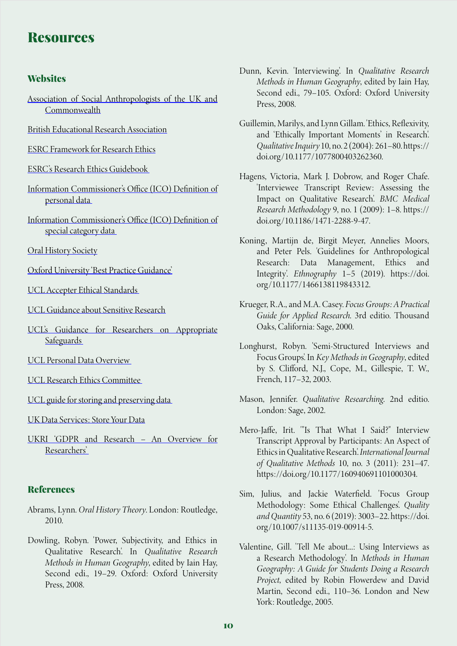## **Resources**

### **Websites**

- [Association of Social Anthropologists of the UK and](https://www.theasa.org/ethics/guidelines.shtml) [Commonwealth](https://www.theasa.org/ethics/guidelines.shtml)
- [British Educational Research Association](https://www.bera.ac.uk/publication/ethical-guidelines-for-educational-research-2018-online#privacy)
- [ESRC Framework for Research Ethics](https://esrc.ukri.org/files/funding/guidance-for-applicants/esrc-framework-for-research-ethics-2015/)
- [ESRC's Research Ethics Guidebook](http://www.ethicsguidebook.ac.uk/Asking-questions-of-participants-100)
- [Information Commissioner's Office \(ICO\) Definition of](https://ico.org.uk/for-organisations/guide-to-data-protection/guide-to-the-general-data-protection-regulation-gdpr/key-definitions/what-is-personal-data/) [personal data](https://ico.org.uk/for-organisations/guide-to-data-protection/guide-to-the-general-data-protection-regulation-gdpr/key-definitions/what-is-personal-data/)
- [Information Commissioner's Office \(ICO\) Definition of](https://ico.org.uk/for-organisations/guide-to-data-protection/guide-to-the-general-data-protection-regulation-gdpr/lawful-basis-for-processing/special-category-data/.) [special category data](https://ico.org.uk/for-organisations/guide-to-data-protection/guide-to-the-general-data-protection-regulation-gdpr/lawful-basis-for-processing/special-category-data/.)

**[Oral History Society](https://www.ohs.org.uk/advice/ethical-and-legal/2/#before-interview)** 

- [Oxford University 'Best Practice Guidance'](https://researchsupport.admin.ox.ac.uk/files/bpg01researchersafetypdf.)
- [UCL Accepter Ethical Standards](https://ethics.grad.ucl.ac.uk/accepted-ethical-standards.php.)
- [UCL Guidance about Sensitive Research](https://www.ucl.ac.uk/research/integrity/sensitive-research)
- [UCL's Guidance for Researchers on Appropriate](https://www.ucl.ac.uk/legal-services/ucl-general-data-protection-regulation-gdpr/guidance-notices-ucl-staff/guidance-researchers-0) **Safeguards**
- [UCL Personal Data Overview](https://www.ucl.ac.uk/data-protection/guidance-staff-students-and-researchers/practical-data-protection-guidance-notices/personal-data)
- [UCL Research Ethics Committee](https://ethics.grad.ucl.ac.uk)
- [UCL guide for storing and preserving data](https://www.ucl.ac.uk/library/research-support/research-data-management/best-practices/how-guides/storing-preserving-data)
- [UK Data Services: Store Your Data](https://ukdataservice.ac.uk/manage-data/store.aspx.)
- [UKRI 'GDPR and Research An Overview for](https://www.ukri.org/files/about/policy/ukri-gdpr-faqs-pdf/.) [Researchers'](https://www.ukri.org/files/about/policy/ukri-gdpr-faqs-pdf/.)

#### References

- Abrams, Lynn. *Oral History Theory*. London: Routledge, 2010.
- Dowling, Robyn. 'Power, Subjectivity, and Ethics in Qualitative Research'. In *Qualitative Research Methods in Human Geography*, edited by Iain Hay, Second edi., 19–29. Oxford: Oxford University Press, 2008.
- Dunn, Kevin. 'Interviewing'. In *Qualitative Research Methods in Human Geography*, edited by Iain Hay, Second edi., 79–105. Oxford: Oxford University Press, 2008.
- Guillemin, Marilys, and Lynn Gillam. 'Ethics, Reflexivity, and 'Ethically Important Moments' in Research'. *Qualitative Inquiry* 10, no. 2 (2004): 261–80. https:// doi.org/10.1177/1077800403262360.
- Hagens, Victoria, Mark J. Dobrow, and Roger Chafe. 'Interviewee Transcript Review: Assessing the Impact on Qualitative Research'. *BMC Medical Research Methodology* 9, no. 1 (2009): 1–8. https:// doi.org/10.1186/1471-2288-9-47.
- Koning, Martijn de, Birgit Meyer, Annelies Moors, and Peter Pels. 'Guidelines for Anthropological Research: Data Management, Ethics and Integrity'. *Ethnography* 1–5 (2019). https://doi. org/10.1177/1466138119843312.
- Krueger, R.A., and M.A. Casey. *Focus Groups: A Practical Guide for Applied Research*. 3rd editio. Thousand Oaks, California: Sage, 2000.
- Longhurst, Robyn. 'Semi-Structured Interviews and Focus Groups'. In *Key Methods in Geography*, edited by S. Clifford, N.J., Cope, M., Gillespie, T. W., French, 117–32, 2003.
- Mason, Jennifer. *Qualitative Researching*. 2nd editio. London: Sage, 2002.
- Mero-Jaffe, Irit. '"Is That What I Said?" Interview Transcript Approval by Participants: An Aspect of Ethics in Qualitative Research'. *International Journal of Qualitative Methods* 10, no. 3 (2011): 231–47. https://doi.org/10.1177/160940691101000304.
- Sim, Julius, and Jackie Waterfield. 'Focus Group Methodology: Some Ethical Challenges'. *Quality and Quantity* 53, no. 6 (2019): 3003–22. https://doi. org/10.1007/s11135-019-00914-5.
- Valentine, Gill. 'Tell Me about...: Using Interviews as a Research Methodology'. In *Methods in Human Geography: A Guide for Students Doing a Research Project*, edited by Robin Flowerdew and David Martin, Second edi., 110–36. London and New York: Routledge, 2005.